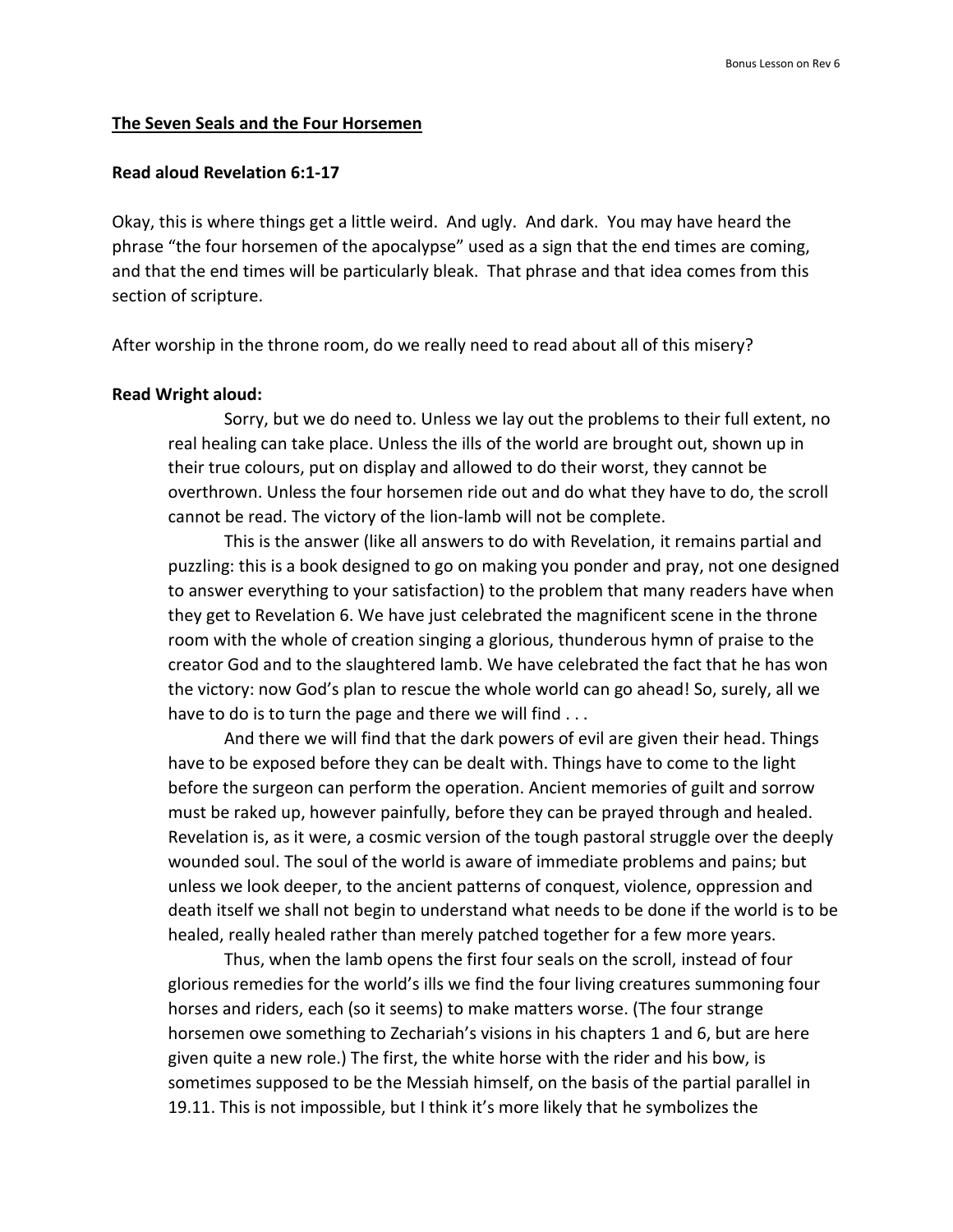## **The Seven Seals and the Four Horsemen**

## **Read aloud Revelation 6:1-17**

Okay, this is where things get a little weird. And ugly. And dark. You may have heard the phrase "the four horsemen of the apocalypse" used as a sign that the end times are coming, and that the end times will be particularly bleak. That phrase and that idea comes from this section of scripture.

After worship in the throne room, do we really need to read about all of this misery?

## **Read Wright aloud:**

Sorry, but we do need to. Unless we lay out the problems to their full extent, no real healing can take place. Unless the ills of the world are brought out, shown up in their true colours, put on display and allowed to do their worst, they cannot be overthrown. Unless the four horsemen ride out and do what they have to do, the scroll cannot be read. The victory of the lion-lamb will not be complete.

This is the answer (like all answers to do with Revelation, it remains partial and puzzling: this is a book designed to go on making you ponder and pray, not one designed to answer everything to your satisfaction) to the problem that many readers have when they get to Revelation 6. We have just celebrated the magnificent scene in the throne room with the whole of creation singing a glorious, thunderous hymn of praise to the creator God and to the slaughtered lamb. We have celebrated the fact that he has won the victory: now God's plan to rescue the whole world can go ahead! So, surely, all we have to do is to turn the page and there we will find ...

And there we will find that the dark powers of evil are given their head. Things have to be exposed before they can be dealt with. Things have to come to the light before the surgeon can perform the operation. Ancient memories of guilt and sorrow must be raked up, however painfully, before they can be prayed through and healed. Revelation is, as it were, a cosmic version of the tough pastoral struggle over the deeply wounded soul. The soul of the world is aware of immediate problems and pains; but unless we look deeper, to the ancient patterns of conquest, violence, oppression and death itself we shall not begin to understand what needs to be done if the world is to be healed, really healed rather than merely patched together for a few more years.

Thus, when the lamb opens the first four seals on the scroll, instead of four glorious remedies for the world's ills we find the four living creatures summoning four horses and riders, each (so it seems) to make matters worse. (The four strange horsemen owe something to Zechariah's visions in his chapters 1 and 6, but are here given quite a new role.) The first, the white horse with the rider and his bow, is sometimes supposed to be the Messiah himself, on the basis of the partial parallel in 19.11. This is not impossible, but I think it's more likely that he symbolizes the